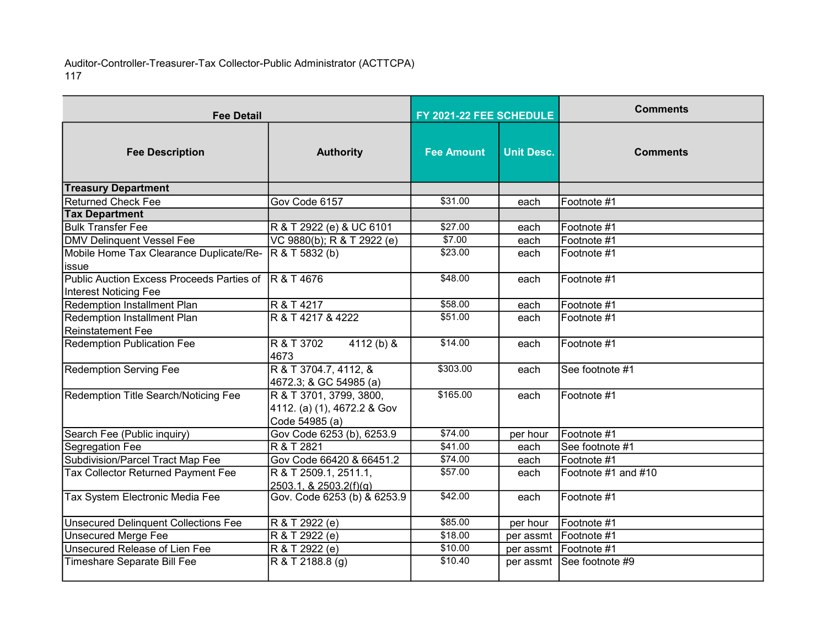Auditor-Controller-Treasurer-Tax Collector-Public Administrator (ACTTCPA) 117

| <b>Fee Detail</b>                                                                     |                                                                          | FY 2021-22 FEE SCHEDULE |                   | <b>Comments</b>           |
|---------------------------------------------------------------------------------------|--------------------------------------------------------------------------|-------------------------|-------------------|---------------------------|
| <b>Fee Description</b>                                                                | <b>Authority</b>                                                         | <b>Fee Amount</b>       | <b>Unit Desc.</b> | <b>Comments</b>           |
| <b>Treasury Department</b>                                                            |                                                                          |                         |                   |                           |
| <b>Returned Check Fee</b>                                                             | Gov Code 6157                                                            | \$31.00                 | each              | Footnote #1               |
| <b>Tax Department</b>                                                                 |                                                                          |                         |                   |                           |
| <b>Bulk Transfer Fee</b>                                                              | R & T 2922 (e) & UC 6101                                                 | \$27.00                 | each              | Footnote #1               |
| <b>DMV Delinquent Vessel Fee</b>                                                      | VC 9880(b); R & T 2922 (e)                                               | \$7.00                  | each              | Footnote #1               |
| Mobile Home Tax Clearance Duplicate/Re-                                               | R & T 5832 (b)                                                           | \$23.00                 | each              | Footnote #1               |
| issue                                                                                 |                                                                          |                         |                   |                           |
| Public Auction Excess Proceeds Parties of  R & T 4676<br><b>Interest Noticing Fee</b> |                                                                          | \$48.00                 | each              | Footnote #1               |
| <b>Redemption Installment Plan</b>                                                    | R & T 4217                                                               | \$58.00                 | each              | Footnote #1               |
| Redemption Installment Plan                                                           | R & T 4217 & 4222                                                        | \$51.00                 | each              | Footnote #1               |
| <b>Reinstatement Fee</b>                                                              |                                                                          |                         |                   |                           |
| <b>Redemption Publication Fee</b>                                                     | $4112(b)$ &<br>R & T 3702<br>4673                                        | \$14.00                 | each              | Footnote #1               |
| <b>Redemption Serving Fee</b>                                                         | R & T 3704.7, 4112, &<br>4672.3; & GC 54985 (a)                          | \$303.00                | each              | See footnote #1           |
| Redemption Title Search/Noticing Fee                                                  | R & T 3701, 3799, 3800,<br>4112. (a) (1), 4672.2 & Gov<br>Code 54985 (a) | \$165.00                | each              | Footnote #1               |
| Search Fee (Public inquiry)                                                           | Gov Code 6253 (b), 6253.9                                                | \$74.00                 | per hour          | Footnote #1               |
| Segregation Fee                                                                       | R & T 2821                                                               | \$41.00                 | each              | See footnote #1           |
| Subdivision/Parcel Tract Map Fee                                                      | Gov Code 66420 & 66451.2                                                 | \$74.00                 | each              | Footnote #1               |
| <b>Tax Collector Returned Payment Fee</b>                                             | R & T 2509.1, 2511.1,<br>2503.1, & 2503.2(f)(g)                          | \$57.00                 | each              | Footnote #1 and #10       |
| Tax System Electronic Media Fee                                                       | Gov. Code 6253 (b) & 6253.9                                              | \$42.00                 | each              | Footnote #1               |
| <b>Unsecured Delinquent Collections Fee</b>                                           | R & T 2922 (e)                                                           | \$85.00                 | per hour          | Footnote #1               |
| <b>Unsecured Merge Fee</b>                                                            | R & T 2922 (e)                                                           | \$18.00                 |                   | per assmt   Footnote #1   |
| Unsecured Release of Lien Fee                                                         | R & T 2922 (e)                                                           | \$10.00                 |                   | per assmt   Footnote #1   |
| Timeshare Separate Bill Fee                                                           | R & T 2188.8 (g)                                                         | \$10.40                 |                   | per assmt See footnote #9 |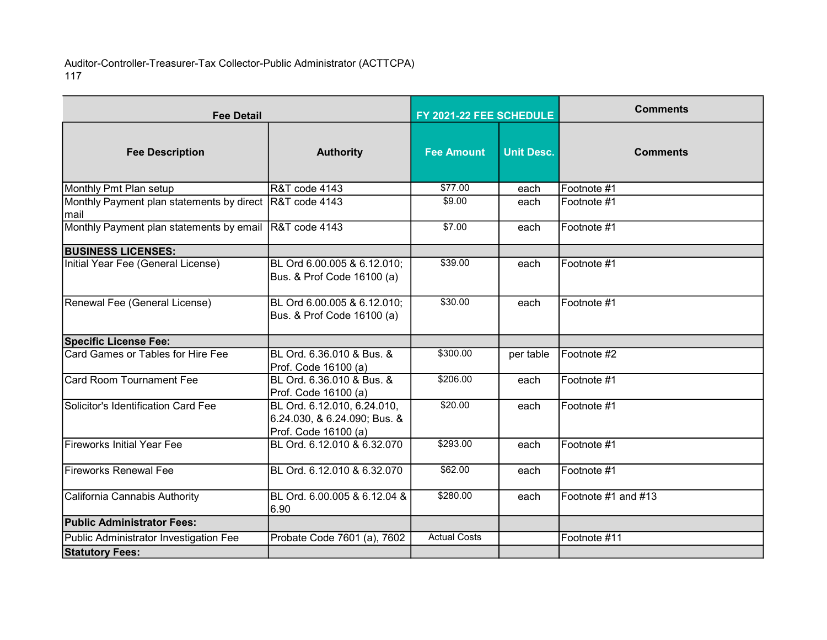Auditor-Controller-Treasurer-Tax Collector-Public Administrator (ACTTCPA) 117

| <b>Fee Detail</b>                                                |                                                                                     | FY 2021-22 FEE SCHEDULE |                   | <b>Comments</b>     |
|------------------------------------------------------------------|-------------------------------------------------------------------------------------|-------------------------|-------------------|---------------------|
| <b>Fee Description</b>                                           | <b>Authority</b>                                                                    | <b>Fee Amount</b>       | <b>Unit Desc.</b> | <b>Comments</b>     |
| Monthly Pmt Plan setup                                           | <b>R&amp;T</b> code 4143                                                            | \$77.00                 | each              | Footnote #1         |
| Monthly Payment plan statements by direct R&T code 4143<br>lmail |                                                                                     | \$9.00                  | each              | Footnote #1         |
| Monthly Payment plan statements by email R&T code 4143           |                                                                                     | \$7.00                  | each              | Footnote #1         |
| <b>BUSINESS LICENSES:</b>                                        |                                                                                     |                         |                   |                     |
| Initial Year Fee (General License)                               | BL Ord 6.00.005 & 6.12.010;<br>Bus. & Prof Code 16100 (a)                           | \$39.00                 | each              | Footnote #1         |
| Renewal Fee (General License)                                    | BL Ord 6.00.005 & 6.12.010;<br>Bus. & Prof Code 16100 (a)                           | \$30.00                 | each              | Footnote #1         |
| <b>Specific License Fee:</b>                                     |                                                                                     |                         |                   |                     |
| Card Games or Tables for Hire Fee                                | BL Ord. 6.36.010 & Bus. &<br>Prof. Code 16100 (a)                                   | \$300.00                | per table         | Footnote #2         |
| Card Room Tournament Fee                                         | BL Ord. 6.36.010 & Bus. &<br>Prof. Code 16100 (a)                                   | \$206.00                | each              | Footnote #1         |
| Solicitor's Identification Card Fee                              | BL Ord. 6.12.010, 6.24.010,<br>6.24.030, & 6.24.090; Bus. &<br>Prof. Code 16100 (a) | \$20.00                 | each              | Footnote #1         |
| lFireworks Initial Year Fee                                      | BL Ord. 6.12.010 & 6.32.070                                                         | \$293.00                | each              | Footnote #1         |
| Fireworks Renewal Fee                                            | BL Ord. 6.12.010 & 6.32.070                                                         | \$62.00                 | each              | Footnote #1         |
| California Cannabis Authority                                    | BL Ord. 6.00.005 & 6.12.04 &<br>6.90                                                | \$280.00                | each              | Footnote #1 and #13 |
| <b>Public Administrator Fees:</b>                                |                                                                                     |                         |                   |                     |
| Public Administrator Investigation Fee                           | Probate Code 7601 (a), 7602                                                         | <b>Actual Costs</b>     |                   | Footnote #11        |
| <b>Statutory Fees:</b>                                           |                                                                                     |                         |                   |                     |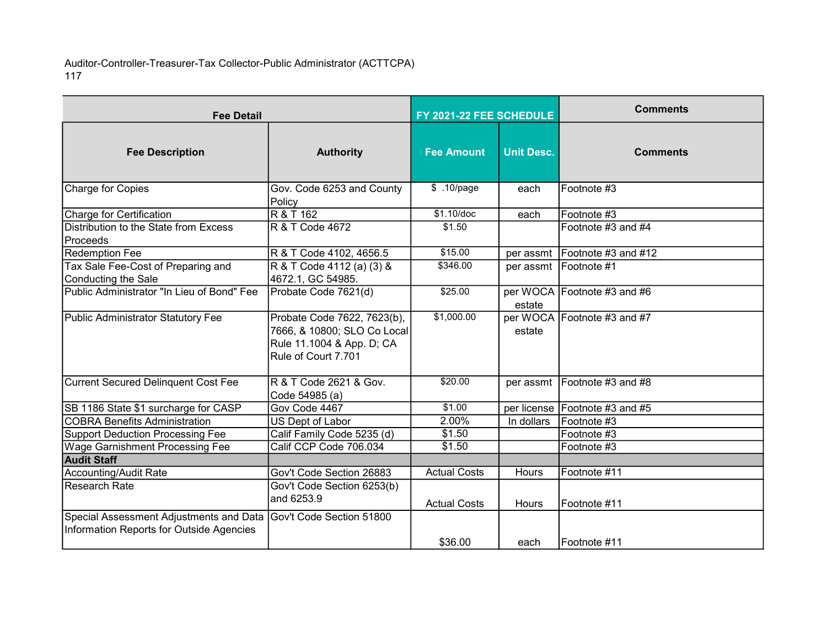Auditor-Controller-Treasurer-Tax Collector-Public Administrator (ACTTCPA) 117

| <b>Fee Detail</b>                                                                                            |                                                                                                                | FY 2021-22 FEE SCHEDULE |                   | <b>Comments</b>                |
|--------------------------------------------------------------------------------------------------------------|----------------------------------------------------------------------------------------------------------------|-------------------------|-------------------|--------------------------------|
| <b>Fee Description</b>                                                                                       | <b>Authority</b>                                                                                               | <b>Fee Amount</b>       | <b>Unit Desc.</b> | <b>Comments</b>                |
| <b>Charge for Copies</b>                                                                                     | Gov. Code 6253 and County<br>Policy                                                                            | \$ .10/page             | each              | Footnote #3                    |
| Charge for Certification                                                                                     | R & T 162                                                                                                      | \$1.10/doc              | each              | Footnote #3                    |
| Distribution to the State from Excess<br>Proceeds                                                            | R & T Code 4672                                                                                                | \$1.50                  |                   | Footnote #3 and #4             |
| <b>Redemption Fee</b>                                                                                        | R & T Code 4102, 4656.5                                                                                        | \$15.00                 | per assmt         | $F$ ootnote #3 and #12         |
| Tax Sale Fee-Cost of Preparing and<br>Conducting the Sale                                                    | R & T Code 4112 (a) (3) &<br>4672.1, GC 54985.                                                                 | \$346.00                | per assmt         | <b>IFootnote</b> #1            |
| Public Administrator "In Lieu of Bond" Fee                                                                   | Probate Code 7621(d)                                                                                           | \$25.00                 | estate            | per WOCA Footnote #3 and #6    |
| Public Administrator Statutory Fee                                                                           | Probate Code 7622, 7623(b),<br>7666, & 10800; SLO Co Local<br>Rule 11.1004 & App. D; CA<br>Rule of Court 7.701 | \$1,000.00              | estate            | per WOCA Footnote #3 and #7    |
| <b>Current Secured Delinquent Cost Fee</b>                                                                   | R & T Code 2621 & Gov.<br>Code 54985 (a)                                                                       | \$20.00                 |                   | per assmt   Footnote #3 and #8 |
| SB 1186 State \$1 surcharge for CASP                                                                         | Gov Code 4467                                                                                                  | \$1.00                  |                   | per license Footnote #3 and #5 |
| <b>COBRA Benefits Administration</b>                                                                         | US Dept of Labor                                                                                               | 2.00%                   | In dollars        | Footnote #3                    |
| <b>Support Deduction Processing Fee</b>                                                                      | Calif Family Code 5235 (d)                                                                                     | \$1.50                  |                   | Footnote #3                    |
| Wage Garnishment Processing Fee                                                                              | Calif CCP Code 706.034                                                                                         | \$1.50                  |                   | Footnote #3                    |
| <b>Audit Staff</b>                                                                                           |                                                                                                                |                         |                   |                                |
| <b>Accounting/Audit Rate</b>                                                                                 | Gov't Code Section 26883                                                                                       | <b>Actual Costs</b>     | Hours             | Footnote #11                   |
| <b>Research Rate</b>                                                                                         | Gov't Code Section 6253(b)<br>and 6253.9                                                                       | <b>Actual Costs</b>     | <b>Hours</b>      | Footnote #11                   |
| Special Assessment Adjustments and Data Gov't Code Section 51800<br>Information Reports for Outside Agencies |                                                                                                                | \$36.00                 | each              | IFootnote #11                  |